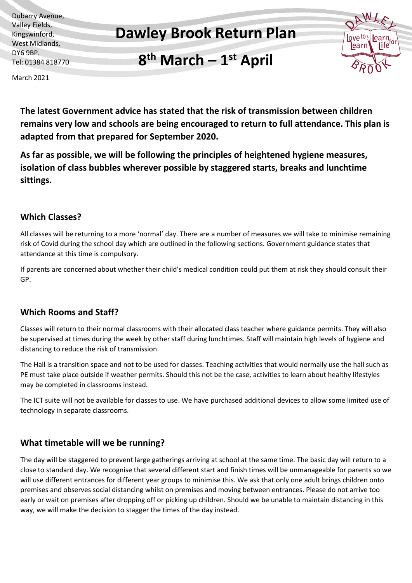Dubarry Avenue, Valley Fields, Kingswinford, West Midlands, DY6 9BP. Tel: 01384 818770

## **Dawley Brook Return Plan**



# **8 th March – 1 st April**

March 2021

**The latest Government advice has stated that the risk of transmission between children remains very low and schools are being encouraged to return to full attendance. This plan is adapted from that prepared for September 2020.**

**As far as possible, we will be following the principles of heightened hygiene measures, isolation of class bubbles wherever possible by staggered starts, breaks and lunchtime sittings.** 

## **Which Classes?**

All classes will be returning to a more 'normal' day. There are a number of measures we will take to minimise remaining risk of Covid during the school day which are outlined in the following sections. Government guidance states that attendance at this time is compulsory.

If parents are concerned about whether their child's medical condition could put them at risk they should consult their GP.

## **Which Rooms and Staff?**

Classes will return to their normal classrooms with their allocated class teacher where guidance permits. They will also be supervised at times during the week by other staff during lunchtimes. Staff will maintain high levels of hygiene and distancing to reduce the risk of transmission.

The Hall is a transition space and not to be used for classes. Teaching activities that would normally use the hall such as PE must take place outside if weather permits. Should this not be the case, activities to learn about healthy lifestyles may be completed in classrooms instead.

The ICT suite will not be available for classes to use. We have purchased additional devices to allow some limited use of technology in separate classrooms.

## **What timetable will we be running?**

The day will be staggered to prevent large gatherings arriving at school at the same time. The basic day will return to a close to standard day. We recognise that several different start and finish times will be unmanageable for parents so we will use different entrances for different year groups to minimise this. We ask that only one adult brings children onto premises and observes social distancing whilst on premises and moving between entrances. Please do not arrive too early or wait on premises after dropping off or picking up children. Should we be unable to maintain distancing in this way, we will make the decision to stagger the times of the day instead.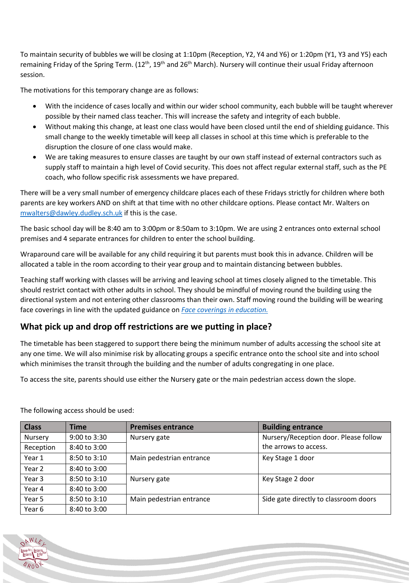To maintain security of bubbles we will be closing at 1:10pm (Reception, Y2, Y4 and Y6) or 1:20pm (Y1, Y3 and Y5) each remaining Friday of the Spring Term. (12<sup>th</sup>, 19<sup>th</sup> and 26<sup>th</sup> March). Nursery will continue their usual Friday afternoon session.

The motivations for this temporary change are as follows:

- With the incidence of cases locally and within our wider school community, each bubble will be taught wherever possible by their named class teacher. This will increase the safety and integrity of each bubble.
- Without making this change, at least one class would have been closed until the end of shielding guidance. This small change to the weekly timetable will keep all classes in school at this time which is preferable to the disruption the closure of one class would make.
- We are taking measures to ensure classes are taught by our own staff instead of external contractors such as supply staff to maintain a high level of Covid security. This does not affect regular external staff, such as the PE coach, who follow specific risk assessments we have prepared.

There will be a very small number of emergency childcare places each of these Fridays strictly for children where both parents are key workers AND on shift at that time with no other childcare options. Please contact Mr. Walters on [mwalters@dawley.dudley.sch.uk](mailto:mwalters@dawley.dudley.sch.uk) if this is the case.

The basic school day will be 8:40 am to 3:00pm or 8:50am to 3:10pm. We are using 2 entrances onto external school premises and 4 separate entrances for children to enter the school building.

Wraparound care will be available for any child requiring it but parents must book this in advance. Children will be allocated a table in the room according to their year group and to maintain distancing between bubbles.

Teaching staff working with classes will be arriving and leaving school at times closely aligned to the timetable. This should restrict contact with other adults in school. They should be mindful of moving round the building using the directional system and not entering other classrooms than their own. Staff moving round the building will be wearing face coverings in line with the updated guidance on *[Face coverings in education.](https://assets.publishing.service.gov.uk/government/uploads/system/uploads/attachment_data/file/965446/Face_coverings_in_education_-_March_2021.pdf)*

## **What pick up and drop off restrictions are we putting in place?**

The timetable has been staggered to support there being the minimum number of adults accessing the school site at any one time. We will also minimise risk by allocating groups a specific entrance onto the school site and into school which minimises the transit through the building and the number of adults congregating in one place.

To access the site, parents should use either the Nursery gate or the main pedestrian access down the slope.

| <b>Class</b> | <b>Time</b>  | <b>Premises entrance</b> | <b>Building entrance</b>              |
|--------------|--------------|--------------------------|---------------------------------------|
| Nursery      | 9:00 to 3:30 | Nursery gate             | Nursery/Reception door. Please follow |
| Reception    | 8:40 to 3:00 |                          | the arrows to access.                 |
| Year 1       | 8:50 to 3:10 | Main pedestrian entrance | Key Stage 1 door                      |
| Year 2       | 8:40 to 3:00 |                          |                                       |
| Year 3       | 8:50 to 3:10 | Nursery gate             | Key Stage 2 door                      |
| Year 4       | 8:40 to 3:00 |                          |                                       |
| Year 5       | 8:50 to 3:10 | Main pedestrian entrance | Side gate directly to classroom doors |
| Year 6       | 8:40 to 3:00 |                          |                                       |

The following access should be used:

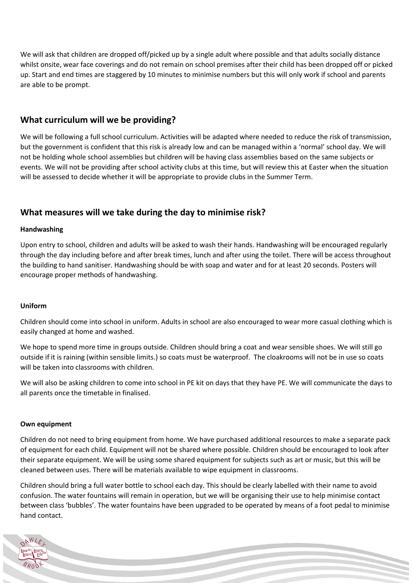We will ask that children are dropped off/picked up by a single adult where possible and that adults socially distance whilst onsite, wear face coverings and do not remain on school premises after their child has been dropped off or picked up. Start and end times are staggered by 10 minutes to minimise numbers but this will only work if school and parents are able to be prompt.

## **What curriculum will we be providing?**

We will be following a full school curriculum. Activities will be adapted where needed to reduce the risk of transmission, but the government is confident that this risk is already low and can be managed within a 'normal' school day. We will not be holding whole school assemblies but children will be having class assemblies based on the same subjects or events. We will not be providing after school activity clubs at this time, but will review this at Easter when the situation will be assessed to decide whether it will be appropriate to provide clubs in the Summer Term.

## **What measures will we take during the day to minimise risk?**

#### **Handwashing**

Upon entry to school, children and adults will be asked to wash their hands. Handwashing will be encouraged regularly through the day including before and after break times, lunch and after using the toilet. There will be access throughout the building to hand sanitiser. Handwashing should be with soap and water and for at least 20 seconds. Posters will encourage proper methods of handwashing.

#### **Uniform**

Children should come into school in uniform. Adults in school are also encouraged to wear more casual clothing which is easily changed at home and washed.

We hope to spend more time in groups outside. Children should bring a coat and wear sensible shoes. We will still go outside if it is raining (within sensible limits.) so coats must be waterproof. The cloakrooms will not be in use so coats will be taken into classrooms with children.

We will also be asking children to come into school in PE kit on days that they have PE. We will communicate the days to all parents once the timetable in finalised.

#### **Own equipment**

Children do not need to bring equipment from home. We have purchased additional resources to make a separate pack of equipment for each child. Equipment will not be shared where possible. Children should be encouraged to look after their separate equipment. We will be using some shared equipment for subjects such as art or music, but this will be cleaned between uses. There will be materials available to wipe equipment in classrooms.

Children should bring a full water bottle to school each day. This should be clearly labelled with their name to avoid confusion. The water fountains will remain in operation, but we will be organising their use to help minimise contact between class 'bubbles'. The water fountains have been upgraded to be operated by means of a foot pedal to minimise hand contact.

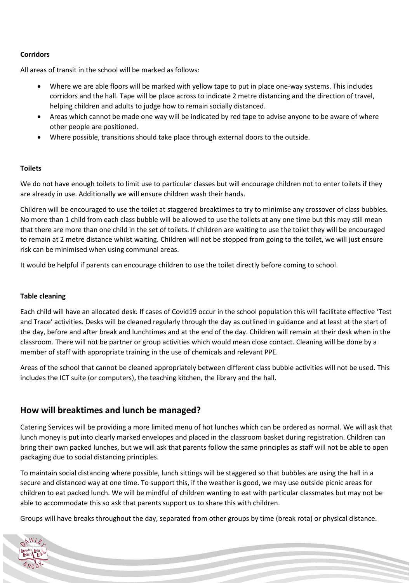#### **Corridors**

All areas of transit in the school will be marked as follows:

- Where we are able floors will be marked with yellow tape to put in place one-way systems. This includes corridors and the hall. Tape will be place across to indicate 2 metre distancing and the direction of travel, helping children and adults to judge how to remain socially distanced.
- Areas which cannot be made one way will be indicated by red tape to advise anyone to be aware of where other people are positioned.
- Where possible, transitions should take place through external doors to the outside.

#### **Toilets**

We do not have enough toilets to limit use to particular classes but will encourage children not to enter toilets if they are already in use. Additionally we will ensure children wash their hands.

Children will be encouraged to use the toilet at staggered breaktimes to try to minimise any crossover of class bubbles. No more than 1 child from each class bubble will be allowed to use the toilets at any one time but this may still mean that there are more than one child in the set of toilets. If children are waiting to use the toilet they will be encouraged to remain at 2 metre distance whilst waiting. Children will not be stopped from going to the toilet, we will just ensure risk can be minimised when using communal areas.

It would be helpful if parents can encourage children to use the toilet directly before coming to school.

#### **Table cleaning**

Each child will have an allocated desk. If cases of Covid19 occur in the school population this will facilitate effective 'Test and Trace' activities. Desks will be cleaned regularly through the day as outlined in guidance and at least at the start of the day, before and after break and lunchtimes and at the end of the day. Children will remain at their desk when in the classroom. There will not be partner or group activities which would mean close contact. Cleaning will be done by a member of staff with appropriate training in the use of chemicals and relevant PPE.

Areas of the school that cannot be cleaned appropriately between different class bubble activities will not be used. This includes the ICT suite (or computers), the teaching kitchen, the library and the hall.

## **How will breaktimes and lunch be managed?**

Catering Services will be providing a more limited menu of hot lunches which can be ordered as normal. We will ask that lunch money is put into clearly marked envelopes and placed in the classroom basket during registration. Children can bring their own packed lunches, but we will ask that parents follow the same principles as staff will not be able to open packaging due to social distancing principles.

To maintain social distancing where possible, lunch sittings will be staggered so that bubbles are using the hall in a secure and distanced way at one time. To support this, if the weather is good, we may use outside picnic areas for children to eat packed lunch. We will be mindful of children wanting to eat with particular classmates but may not be able to accommodate this so ask that parents support us to share this with children.

Groups will have breaks throughout the day, separated from other groups by time (break rota) or physical distance.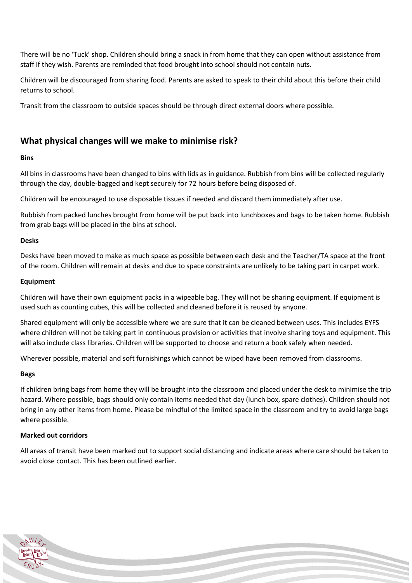There will be no 'Tuck' shop. Children should bring a snack in from home that they can open without assistance from staff if they wish. Parents are reminded that food brought into school should not contain nuts.

Children will be discouraged from sharing food. Parents are asked to speak to their child about this before their child returns to school.

Transit from the classroom to outside spaces should be through direct external doors where possible.

## **What physical changes will we make to minimise risk?**

#### **Bins**

All bins in classrooms have been changed to bins with lids as in guidance. Rubbish from bins will be collected regularly through the day, double-bagged and kept securely for 72 hours before being disposed of.

Children will be encouraged to use disposable tissues if needed and discard them immediately after use.

Rubbish from packed lunches brought from home will be put back into lunchboxes and bags to be taken home. Rubbish from grab bags will be placed in the bins at school.

#### **Desks**

Desks have been moved to make as much space as possible between each desk and the Teacher/TA space at the front of the room. Children will remain at desks and due to space constraints are unlikely to be taking part in carpet work.

#### **Equipment**

Children will have their own equipment packs in a wipeable bag. They will not be sharing equipment. If equipment is used such as counting cubes, this will be collected and cleaned before it is reused by anyone.

Shared equipment will only be accessible where we are sure that it can be cleaned between uses. This includes EYFS where children will not be taking part in continuous provision or activities that involve sharing toys and equipment. This will also include class libraries. Children will be supported to choose and return a book safely when needed.

Wherever possible, material and soft furnishings which cannot be wiped have been removed from classrooms.

#### **Bags**

If children bring bags from home they will be brought into the classroom and placed under the desk to minimise the trip hazard. Where possible, bags should only contain items needed that day (lunch box, spare clothes). Children should not bring in any other items from home. Please be mindful of the limited space in the classroom and try to avoid large bags where possible.

#### **Marked out corridors**

All areas of transit have been marked out to support social distancing and indicate areas where care should be taken to avoid close contact. This has been outlined earlier.